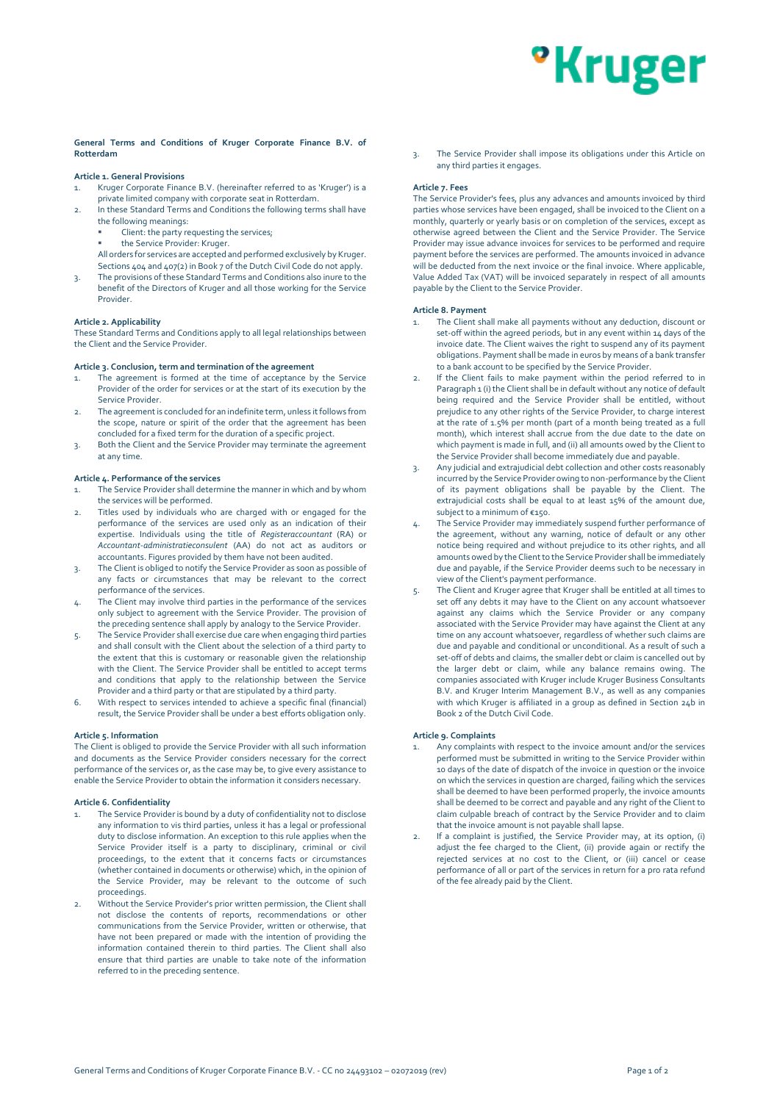## <sup>o</sup>Kruger

### **General Terms and Conditions of Kruger Corporate Finance B.V. of Rotterdam**

#### **Article 1. General Provisions**

- 1. Kruger Corporate Finance B.V. (hereinafter referred to as 'Kruger') is a private limited company with corporate seat in Rotterdam.
- 2. In these Standard Terms and Conditions the following terms shall have the following meanings:
	- Client: the party requesting the services;
	- the Service Provider: Kruger

All orders for services are accepted and performed exclusively by Kruger. Sections 404 and 407(2) in Book 7 of the Dutch Civil Code do not apply.

The provisions of these Standard Terms and Conditions also inure to the benefit of the Directors of Kruger and all those working for the Service Provider.

#### **Article 2. Applicability**

These Standard Terms and Conditions apply to all legal relationships between the Client and the Service Provider.

## **Article 3. Conclusion, term and termination of the agreement**

- The agreement is formed at the time of acceptance by the Service Provider of the order for services or at the start of its execution by the Service Provider.
- 2. The agreement is concluded for an indefinite term, unless it follows from the scope, nature or spirit of the order that the agreement has been concluded for a fixed term for the duration of a specific project.
- 3. Both the Client and the Service Provider may terminate the agreement at any time.

#### **Article 4. Performance of the services**

- 1. The Service Provider shall determine the manner in which and by whom the services will be performed.
- Titles used by individuals who are charged with or engaged for the performance of the services are used only as an indication of their expertise. Individuals using the title of *Registeraccountant* (RA) or *Accountant-administratieconsulent* (AA) do not act as auditors or accountants. Figures provided by them have not been audited.
- The Client is obliged to notify the Service Provider as soon as possible of any facts or circumstances that may be relevant to the correct performance of the services.
- 4. The Client may involve third parties in the performance of the services only subject to agreement with the Service Provider. The provision of the preceding sentence shall apply by analogy to the Service Provider.
- 5. The Service Provider shall exercise due care when engaging third parties and shall consult with the Client about the selection of a third party to the extent that this is customary or reasonable given the relationship with the Client. The Service Provider shall be entitled to accept terms and conditions that apply to the relationship between the Service Provider and a third party or that are stipulated by a third party.
- 6. With respect to services intended to achieve a specific final (financial) result, the Service Provider shall be under a best efforts obligation only.

#### **Article 5. Information**

The Client is obliged to provide the Service Provider with all such information and documents as the Service Provider considers necessary for the correct performance of the services or, as the case may be, to give every assistance to enable the Service Provider to obtain the information it considers necessary.

#### **Article 6. Confidentiality**

- The Service Provider is bound by a duty of confidentiality not to disclose any information to vis third parties, unless it has a legal or professional duty to disclose information. An exception to this rule applies when the Service Provider itself is a party to disciplinary, criminal or civil proceedings, to the extent that it concerns facts or circumstances (whether contained in documents or otherwise) which, in the opinion of the Service Provider, may be relevant to the outcome of such proceedings.
- 2. Without the Service Provider's prior written permission, the Client shall not disclose the contents of reports, recommendations or other communications from the Service Provider, written or otherwise, that have not been prepared or made with the intention of providing the information contained therein to third parties. The Client shall also ensure that third parties are unable to take note of the information referred to in the preceding sentence.

3. The Service Provider shall impose its obligations under this Article on any third parties it engages.

#### **Article 7. Fees**

The Service Provider's fees, plus any advances and amounts invoiced by third parties whose services have been engaged, shall be invoiced to the Client on a monthly, quarterly or yearly basis or on completion of the services, except as otherwise agreed between the Client and the Service Provider. The Service Provider may issue advance invoices for services to be performed and require payment before the services are performed. The amounts invoiced in advance will be deducted from the next invoice or the final invoice. Where applicable, Value Added Tax (VAT) will be invoiced separately in respect of all amounts payable by the Client to the Service Provider.

#### **Article 8. Payment**

- The Client shall make all payments without any deduction, discount or set-off within the agreed periods, but in any event within 14 days of the invoice date. The Client waives the right to suspend any of its payment obligations. Payment shall be made in euros by means of a bank transfer to a bank account to be specified by the Service Provider.
- If the Client fails to make payment within the period referred to in Paragraph 1 (i) the Client shall be in default without any notice of default being required and the Service Provider shall be entitled, without prejudice to any other rights of the Service Provider, to charge interest at the rate of 1.5% per month (part of a month being treated as a full month), which interest shall accrue from the due date to the date on which payment is made in full, and (ii) all amounts owed by the Client to the Service Provider shall become immediately due and payable.
- 3. Any judicial and extrajudicial debt collection and other costs reasonably incurred by the Service Provider owing to non-performance by the Client of its payment obligations shall be payable by the Client. The extrajudicial costs shall be equal to at least 15% of the amount due, subject to a minimum of €150.
- 4. The Service Provider may immediately suspend further performance of the agreement, without any warning, notice of default or any other notice being required and without prejudice to its other rights, and all amounts owed by the Client to the Service Provider shall be immediately due and payable, if the Service Provider deems such to be necessary in view of the Client's payment performance.
- 5. The Client and Kruger agree that Kruger shall be entitled at all times to set off any debts it may have to the Client on any account whatsoever against any claims which the Service Provider or any company associated with the Service Provider may have against the Client at any time on any account whatsoever, regardless of whether such claims are due and payable and conditional or unconditional. As a result of such a set-off of debts and claims, the smaller debt or claim is cancelled out by the larger debt or claim, while any balance remains owing. The companies associated with Kruger include Kruger Business Consultants B.V. and Kruger Interim Management B.V., as well as any companies with which Kruger is affiliated in a group as defined in Section 24b in Book 2 of the Dutch Civil Code.

#### **Article 9. Complaints**

- 1. Any complaints with respect to the invoice amount and/or the services performed must be submitted in writing to the Service Provider within 10 days of the date of dispatch of the invoice in question or the invoice on which the services in question are charged, failing which the services shall be deemed to have been performed properly, the invoice amounts shall be deemed to be correct and payable and any right of the Client to claim culpable breach of contract by the Service Provider and to claim that the invoice amount is not payable shall lapse.
- If a complaint is justified, the Service Provider may, at its option, (i) adjust the fee charged to the Client, (ii) provide again or rectify the rejected services at no cost to the Client, or (iii) cancel or cease performance of all or part of the services in return for a pro rata refund of the fee already paid by the Client.